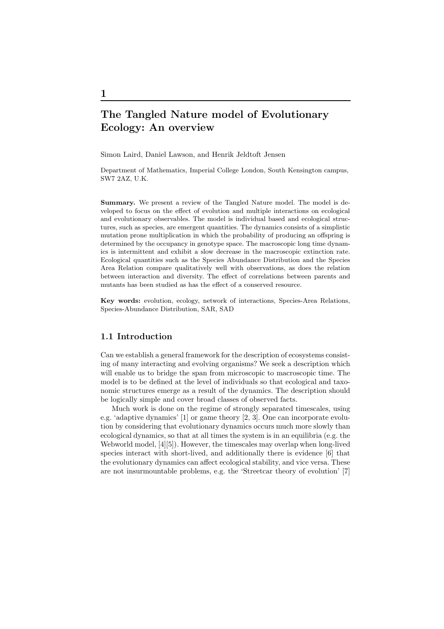# The Tangled Nature model of Evolutionary Ecology: An overview

Simon Laird, Daniel Lawson, and Henrik Jeldtoft Jensen

Department of Mathematics, Imperial College London, South Kensington campus, SW7 2AZ, U.K.

Summary. We present a review of the Tangled Nature model. The model is developed to focus on the effect of evolution and multiple interactions on ecological and evolutionary observables. The model is individual based and ecological structures, such as species, are emergent quantities. The dynamics consists of a simplistic mutation prone multiplication in which the probability of producing an offspring is determined by the occupancy in genotype space. The macroscopic long time dynamics is intermittent and exhibit a slow decrease in the macroscopic extinction rate. Ecological quantities such as the Species Abundance Distribution and the Species Area Relation compare qualitatively well with observations, as does the relation between interaction and diversity. The effect of correlations between parents and mutants has been studied as has the effect of a conserved resource.

Key words: evolution, ecology, network of interactions, Species-Area Relations, Species-Abundance Distribution, SAR, SAD

# 1.1 Introduction

Can we establish a general framework for the description of ecosystems consisting of many interacting and evolving organisms? We seek a description which will enable us to bridge the span from microscopic to macroscopic time. The model is to be defined at the level of individuals so that ecological and taxonomic structures emerge as a result of the dynamics. The description should be logically simple and cover broad classes of observed facts.

Much work is done on the regime of strongly separated timescales, using e.g. 'adaptive dynamics' [1] or game theory [2, 3]. One can incorporate evolution by considering that evolutionary dynamics occurs much more slowly than ecological dynamics, so that at all times the system is in an equilibria (e.g. the Webworld model, [4][5]). However, the timescales may overlap when long-lived species interact with short-lived, and additionally there is evidence [6] that the evolutionary dynamics can affect ecological stability, and vice versa. These are not insurmountable problems, e.g. the 'Streetcar theory of evolution' [7]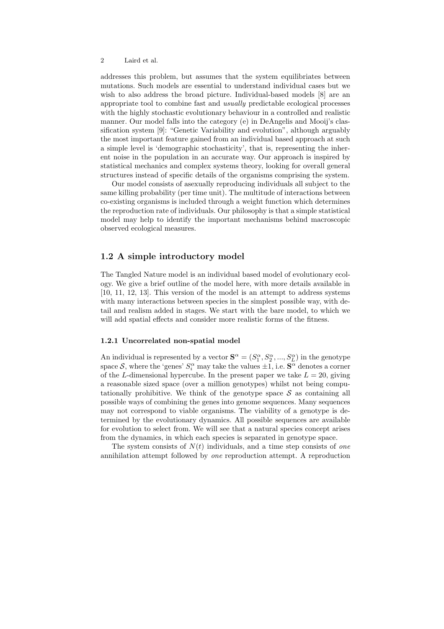addresses this problem, but assumes that the system equilibriates between mutations. Such models are essential to understand individual cases but we wish to also address the broad picture. Individual-based models [8] are an appropriate tool to combine fast and usually predictable ecological processes with the highly stochastic evolutionary behaviour in a controlled and realistic manner. Our model falls into the category (e) in DeAngelis and Mooij's classification system [9]: "Genetic Variability and evolution", although arguably the most important feature gained from an individual based approach at such a simple level is 'demographic stochasticity', that is, representing the inherent noise in the population in an accurate way. Our approach is inspired by statistical mechanics and complex systems theory, looking for overall general structures instead of specific details of the organisms comprising the system.

Our model consists of asexually reproducing individuals all subject to the same killing probability (per time unit). The multitude of interactions between co-existing organisms is included through a weight function which determines the reproduction rate of individuals. Our philosophy is that a simple statistical model may help to identify the important mechanisms behind macroscopic observed ecological measures.

# 1.2 A simple introductory model

The Tangled Nature model is an individual based model of evolutionary ecology. We give a brief outline of the model here, with more details available in [10, 11, 12, 13]. This version of the model is an attempt to address systems with many interactions between species in the simplest possible way, with detail and realism added in stages. We start with the bare model, to which we will add spatial effects and consider more realistic forms of the fitness.

#### 1.2.1 Uncorrelated non-spatial model

An individual is represented by a vector  $S^{\alpha} = (S_1^{\alpha}, S_2^{\alpha}, ..., S_L^{\alpha})$  in the genotype space S, where the 'genes'  $S_i^{\alpha}$  may take the values  $\pm 1$ , i.e.  $S^{\alpha}$  denotes a corner of the L-dimensional hypercube. In the present paper we take  $L = 20$ , giving a reasonable sized space (over a million genotypes) whilst not being computationally prohibitive. We think of the genotype space  $S$  as containing all possible ways of combining the genes into genome sequences. Many sequences may not correspond to viable organisms. The viability of a genotype is determined by the evolutionary dynamics. All possible sequences are available for evolution to select from. We will see that a natural species concept arises from the dynamics, in which each species is separated in genotype space.

The system consists of  $N(t)$  individuals, and a time step consists of one annihilation attempt followed by one reproduction attempt. A reproduction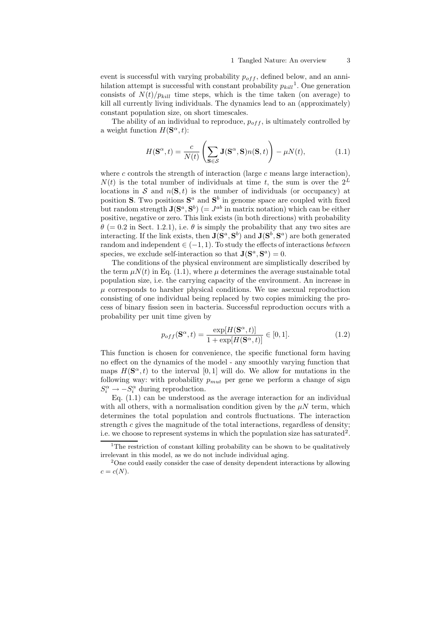event is successful with varying probability  $p_{off}$ , defined below, and an annihilation attempt is successful with constant probability  $p_{kill}$ <sup>1</sup>. One generation consists of  $N(t)/p_{kill}$  time steps, which is the time taken (on average) to kill all currently living individuals. The dynamics lead to an (approximately) constant population size, on short timescales.

The ability of an individual to reproduce,  $p_{off}$ , is ultimately controlled by a weight function  $H(\mathbf{S}^{\alpha}, t)$ :

$$
H(\mathbf{S}^{\alpha},t) = \frac{c}{N(t)} \left( \sum_{\mathbf{S} \in \mathcal{S}} \mathbf{J}(\mathbf{S}^{\alpha}, \mathbf{S}) n(\mathbf{S},t) \right) - \mu N(t), \tag{1.1}
$$

where c controls the strength of interaction (large c means large interaction),  $N(t)$  is the total number of individuals at time t, the sum is over the  $2^L$ locations in S and  $n(S, t)$  is the number of individuals (or occupancy) at position S. Two positions  $S^a$  and  $S^b$  in genome space are coupled with fixed but random strength  $J(S^a, S^b)$  (=  $J^{ab}$  in matrix notation) which can be either positive, negative or zero. This link exists (in both directions) with probability  $\theta$  (= 0.2 in Sect. 1.2.1), i.e.  $\theta$  is simply the probability that any two sites are interacting. If the link exists, then  $J(\mathbf{S}^a, \mathbf{S}^b)$  and  $J(\mathbf{S}^b, \mathbf{S}^a)$  are both generated random and independent  $\in (-1, 1)$ . To study the effects of interactions *between* species, we exclude self-interaction so that  $\mathbf{J}(\mathbf{S}^a, \mathbf{S}^a) = 0$ .

The conditions of the physical environment are simplistically described by the term  $\mu N(t)$  in Eq. (1.1), where  $\mu$  determines the average sustainable total population size, i.e. the carrying capacity of the environment. An increase in  $\mu$  corresponds to harsher physical conditions. We use asexual reproduction consisting of one individual being replaced by two copies mimicking the process of binary fission seen in bacteria. Successful reproduction occurs with a probability per unit time given by

$$
p_{off}(\mathbf{S}^{\alpha},t) = \frac{\exp[H(\mathbf{S}^{\alpha},t)]}{1 + \exp[H(\mathbf{S}^{\alpha},t)]} \in [0,1].
$$
\n(1.2)

This function is chosen for convenience, the specific functional form having no effect on the dynamics of the model - any smoothly varying function that maps  $H(\mathbf{S}^{\alpha},t)$  to the interval  $[0,1]$  will do. We allow for mutations in the following way: with probability  $p_{mut}$  per gene we perform a change of sign  $S_i^{\alpha} \rightarrow -S_i^{\alpha}$  during reproduction.

Eq.  $(1.1)$  can be understood as the average interaction for an individual with all others, with a normalisation condition given by the  $\mu N$  term, which determines the total population and controls fluctuations. The interaction strength  $c$  gives the magnitude of the total interactions, regardless of density; i.e. we choose to represent systems in which the population size has saturated<sup>2</sup>.

<sup>&</sup>lt;sup>1</sup>The restriction of constant killing probability can be shown to be qualitatively irrelevant in this model, as we do not include individual aging.

<sup>&</sup>lt;sup>2</sup>One could easily consider the case of density dependent interactions by allowing  $c = c(N)$ .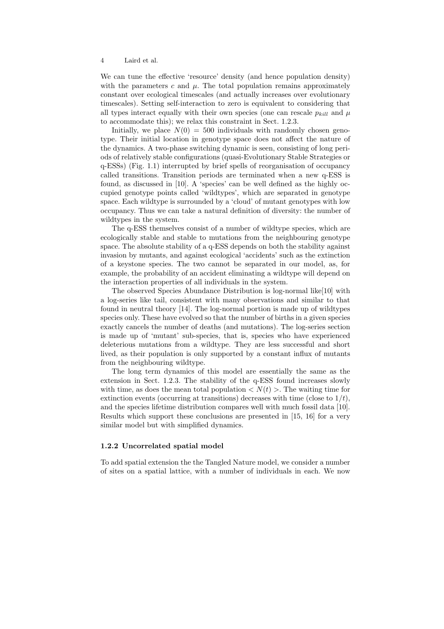We can tune the effective 'resource' density (and hence population density) with the parameters  $c$  and  $\mu$ . The total population remains approximately constant over ecological timescales (and actually increases over evolutionary timescales). Setting self-interaction to zero is equivalent to considering that all types interact equally with their own species (one can rescale  $p_{kill}$  and  $\mu$ to accommodate this); we relax this constraint in Sect. 1.2.3.

Initially, we place  $N(0) = 500$  individuals with randomly chosen genotype. Their initial location in genotype space does not affect the nature of the dynamics. A two-phase switching dynamic is seen, consisting of long periods of relatively stable configurations (quasi-Evolutionary Stable Strategies or q-ESSs) (Fig. 1.1) interrupted by brief spells of reorganisation of occupancy called transitions. Transition periods are terminated when a new q-ESS is found, as discussed in [10]. A 'species' can be well defined as the highly occupied genotype points called 'wildtypes', which are separated in genotype space. Each wildtype is surrounded by a 'cloud' of mutant genotypes with low occupancy. Thus we can take a natural definition of diversity: the number of wildtypes in the system.

The q-ESS themselves consist of a number of wildtype species, which are ecologically stable and stable to mutations from the neighbouring genotype space. The absolute stability of a q-ESS depends on both the stability against invasion by mutants, and against ecological 'accidents' such as the extinction of a keystone species. The two cannot be separated in our model, as, for example, the probability of an accident eliminating a wildtype will depend on the interaction properties of all individuals in the system.

The observed Species Abundance Distribution is log-normal like[10] with a log-series like tail, consistent with many observations and similar to that found in neutral theory [14]. The log-normal portion is made up of wildtypes species only. These have evolved so that the number of births in a given species exactly cancels the number of deaths (and mutations). The log-series section is made up of 'mutant' sub-species, that is, species who have experienced deleterious mutations from a wildtype. They are less successful and short lived, as their population is only supported by a constant influx of mutants from the neighbouring wildtype.

The long term dynamics of this model are essentially the same as the extension in Sect. 1.2.3. The stability of the q-ESS found increases slowly with time, as does the mean total population  $\langle N(t) \rangle$ . The waiting time for extinction events (occurring at transitions) decreases with time (close to  $1/t$ ), and the species lifetime distribution compares well with much fossil data [10]. Results which support these conclusions are presented in [15, 16] for a very similar model but with simplified dynamics.

#### 1.2.2 Uncorrelated spatial model

To add spatial extension the the Tangled Nature model, we consider a number of sites on a spatial lattice, with a number of individuals in each. We now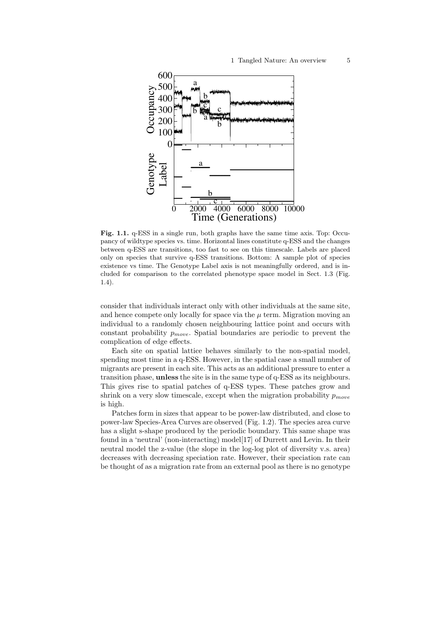

Fig. 1.1. q-ESS in a single run, both graphs have the same time axis. Top: Occupancy of wildtype species vs. time. Horizontal lines constitute q-ESS and the changes between q-ESS are transitions, too fast to see on this timescale. Labels are placed only on species that survive q-ESS transitions. Bottom: A sample plot of species existence vs time. The Genotype Label axis is not meaningfully ordered, and is included for comparison to the correlated phenotype space model in Sect. 1.3 (Fig. 1.4).

consider that individuals interact only with other individuals at the same site, and hence compete only locally for space via the  $\mu$  term. Migration moving an individual to a randomly chosen neighbouring lattice point and occurs with constant probability  $p_{move}$ . Spatial boundaries are periodic to prevent the complication of edge effects.

Each site on spatial lattice behaves similarly to the non-spatial model, spending most time in a q-ESS. However, in the spatial case a small number of migrants are present in each site. This acts as an additional pressure to enter a transition phase, unless the site is in the same type of q-ESS as its neighbours. This gives rise to spatial patches of q-ESS types. These patches grow and shrink on a very slow timescale, except when the migration probability  $p_{move}$ is high.

Patches form in sizes that appear to be power-law distributed, and close to power-law Species-Area Curves are observed (Fig. 1.2). The species area curve has a slight s-shape produced by the periodic boundary. This same shape was found in a 'neutral' (non-interacting) model[17] of Durrett and Levin. In their neutral model the z-value (the slope in the log-log plot of diversity v.s. area) decreases with decreasing speciation rate. However, their speciation rate can be thought of as a migration rate from an external pool as there is no genotype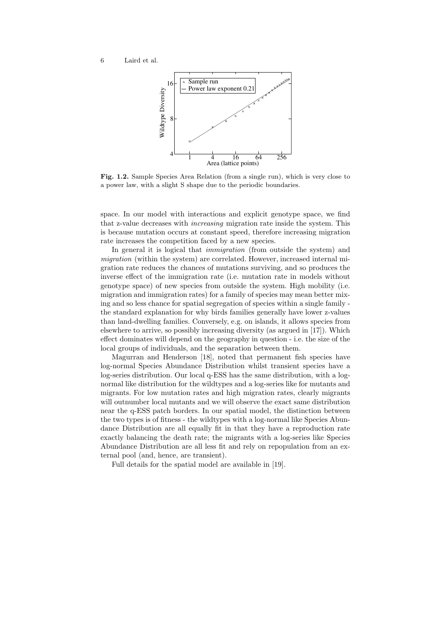

Fig. 1.2. Sample Species Area Relation (from a single run), which is very close to a power law, with a slight S shape due to the periodic boundaries.

space. In our model with interactions and explicit genotype space, we find that z-value decreases with increasing migration rate inside the system. This is because mutation occurs at constant speed, therefore increasing migration rate increases the competition faced by a new species.

In general it is logical that *immigration* (from outside the system) and migration (within the system) are correlated. However, increased internal migration rate reduces the chances of mutations surviving, and so produces the inverse effect of the immigration rate (i.e. mutation rate in models without genotype space) of new species from outside the system. High mobility (i.e. migration and immigration rates) for a family of species may mean better mixing and so less chance for spatial segregation of species within a single family the standard explanation for why birds families generally have lower z-values than land-dwelling families. Conversely, e.g. on islands, it allows species from elsewhere to arrive, so possibly increasing diversity (as argued in [17]). Which effect dominates will depend on the geography in question - i.e. the size of the local groups of individuals, and the separation between them.

Magurran and Henderson [18], noted that permanent fish species have log-normal Species Abundance Distribution whilst transient species have a log-series distribution. Our local q-ESS has the same distribution, with a lognormal like distribution for the wildtypes and a log-series like for mutants and migrants. For low mutation rates and high migration rates, clearly migrants will outnumber local mutants and we will observe the exact same distribution near the q-ESS patch borders. In our spatial model, the distinction between the two types is of fitness - the wildtypes with a log-normal like Species Abundance Distribution are all equally fit in that they have a reproduction rate exactly balancing the death rate; the migrants with a log-series like Species Abundance Distribution are all less fit and rely on repopulation from an external pool (and, hence, are transient).

Full details for the spatial model are available in [19].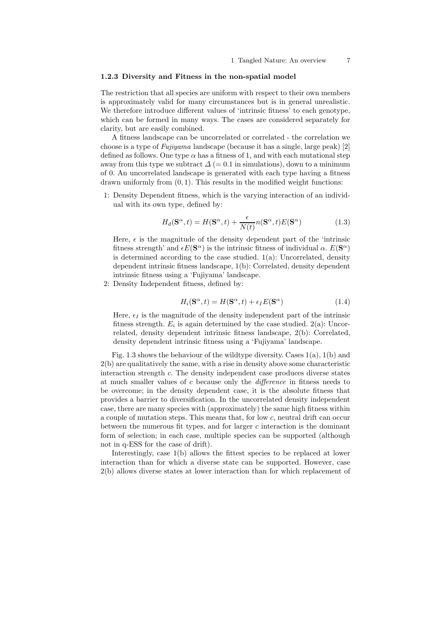# 1.2.3 Diversity and Fitness in the non-spatial model

The restriction that all species are uniform with respect to their own members is approximately valid for many circumstances but is in general unrealistic. We therefore introduce different values of 'intrinsic fitness' to each genotype, which can be formed in many ways. The cases are considered separately for clarity, but are easily combined.

A fitness landscape can be uncorrelated or correlated - the correlation we choose is a type of Fujiyama landscape (because it has a single, large peak) [2] defined as follows. One type  $\alpha$  has a fitness of 1, and with each mutational step away from this type we subtract  $\Delta$  (= 0.1 in simulations), down to a minimum of 0. An uncorrelated landscape is generated with each type having a fitness drawn uniformly from  $(0, 1)$ . This results in the modified weight functions:

1: Density Dependent fitness, which is the varying interaction of an individual with its own type, defined by:

$$
H_d(\mathbf{S}^\alpha, t) = H(\mathbf{S}^\alpha, t) + \frac{\epsilon}{N(t)} n(\mathbf{S}^\alpha, t) E(\mathbf{S}^\alpha)
$$
(1.3)

Here,  $\epsilon$  is the magnitude of the density dependent part of the 'intrinsic fitness strength' and  $\epsilon E(\mathbf{S}^{\alpha})$  is the intrinsic fitness of individual  $\alpha$ .  $E(\mathbf{S}^{\alpha})$ is determined according to the case studied.  $1(a)$ : Uncorrelated, density dependent intrinsic fitness landscape, 1(b): Correlated, density dependent intrinsic fitness using a 'Fujiyama' landscape.

2: Density Independent fitness, defined by:

$$
H_i(\mathbf{S}^\alpha, t) = H(\mathbf{S}^\alpha, t) + \epsilon_I E(\mathbf{S}^\alpha)
$$
\n(1.4)

Here,  $\epsilon_I$  is the magnitude of the density independent part of the intrinsic fitness strength.  $E_i$  is again determined by the case studied.  $2(a)$ : Uncorrelated, density dependent intrinsic fitness landscape, 2(b): Correlated, density dependent intrinsic fitness using a 'Fujiyama' landscape.

Fig. 1.3 shows the behaviour of the wildtype diversity. Cases 1(a), 1(b) and 2(b) are qualitatively the same, with a rise in density above some characteristic interaction strength c. The density independent case produces diverse states at much smaller values of  $c$  because only the *difference* in fitness needs to be overcome; in the density dependent case, it is the absolute fitness that provides a barrier to diversification. In the uncorrelated density independent case, there are many species with (approximately) the same high fitness within a couple of mutation steps. This means that, for low c, neutral drift can occur between the numerous fit types, and for larger  $c$  interaction is the dominant form of selection; in each case, multiple species can be supported (although not in q-ESS for the case of drift).

Interestingly, case 1(b) allows the fittest species to be replaced at lower interaction than for which a diverse state can be supported. However, case 2(b) allows diverse states at lower interaction than for which replacement of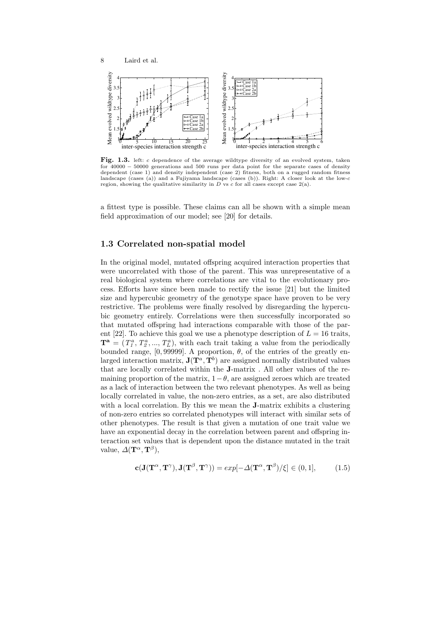

Fig. 1.3. left: c dependence of the average wildtype diversity of an evolved system, taken for 40000 − 50000 generations and 500 runs per data point for the separate cases of density dependent (case 1) and density independent (case 2) fitness, both on a rugged random fitness landscape (cases (a)) and a Fujiyama landscape (cases (b)). Right: A closer look at the low-c region, showing the qualitative similarity in  $D$  vs  $c$  for all cases except case  $2(a)$ .

a fittest type is possible. These claims can all be shown with a simple mean field approximation of our model; see [20] for details.

# 1.3 Correlated non-spatial model

In the original model, mutated offspring acquired interaction properties that were uncorrelated with those of the parent. This was unrepresentative of a real biological system where correlations are vital to the evolutionary process. Efforts have since been made to rectify the issue [21] but the limited size and hypercubic geometry of the genotype space have proven to be very restrictive. The problems were finally resolved by disregarding the hypercubic geometry entirely. Correlations were then successfully incorporated so that mutated offspring had interactions comparable with those of the parent [22]. To achieve this goal we use a phenotype description of  $L = 16$  traits,  $\mathbf{T}^{\mathbf{a}} = (T_1^a, T_2^a, ..., T_L^a)$ , with each trait taking a value from the periodically bounded range, [0, 99999]. A proportion,  $\theta$ , of the entries of the greatly enlarged interaction matrix,  $J(T^a, T^b)$  are assigned normally distributed values that are locally correlated within the J-matrix . All other values of the remaining proportion of the matrix,  $1-\theta$ , are assigned zeroes which are treated as a lack of interaction between the two relevant phenotypes. As well as being locally correlated in value, the non-zero entries, as a set, are also distributed with a local correlation. By this we mean the J-matrix exhibits a clustering of non-zero entries so correlated phenotypes will interact with similar sets of other phenotypes. The result is that given a mutation of one trait value we have an exponential decay in the correlation between parent and offspring interaction set values that is dependent upon the distance mutated in the trait value,  $\Delta(\mathbf{T}^{\alpha}, \mathbf{T}^{\beta}),$ 

$$
\mathbf{c}(\mathbf{J}(\mathbf{T}^{\alpha}, \mathbf{T}^{\gamma}), \mathbf{J}(\mathbf{T}^{\beta}, \mathbf{T}^{\gamma})) = exp[-\Delta(\mathbf{T}^{\alpha}, \mathbf{T}^{\beta})/\xi] \in (0, 1], \tag{1.5}
$$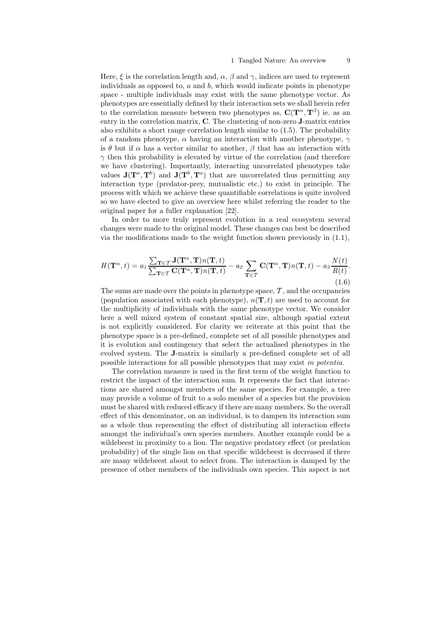Here,  $\xi$  is the correlation length and,  $\alpha$ ,  $\beta$  and  $\gamma$ , indices are used to represent individuals as opposed to,  $a$  and  $b$ , which would indicate points in phenotype space - multiple individuals may exist with the same phenotype vector. As phenotypes are essentially defined by their interaction sets we shall herein refer to the correlation measure between two phenotypes as,  $C(T^{\alpha}, T^{\beta})$  ie. as an entry in the correlation matrix, C. The clustering of non-zero J-matrix entries also exhibits a short range correlation length similar to (1.5). The probability of a random phenotype,  $\alpha$  having an interaction with another phenotype,  $\gamma$ is θ but if  $\alpha$  has a vector similar to another,  $\beta$  that has an interaction with  $\gamma$  then this probability is elevated by virtue of the correlation (and therefore we have clustering). Importantly, interacting uncorrelated phenotypes take values  $J(T^a, T^b)$  and  $J(T^b, T^a)$  that are uncorrelated thus permitting any interaction type (predator-prey, mutualistic etc.) to exist in principle. The process with which we achieve these quantifiable correlations is quite involved so we have elected to give an overview here whilst referring the reader to the original paper for a fuller explanation [22].

In order to more truly represent evolution in a real ecosystem several changes were made to the original model. These changes can best be described via the modifications made to the weight function shown previously in (1.1),

$$
H(\mathbf{T}^{\alpha},t) = a_1 \frac{\sum_{\mathbf{T} \in \mathcal{T}} \mathbf{J}(\mathbf{T}^{\alpha},\mathbf{T}) n(\mathbf{T},t)}{\sum_{\mathbf{T} \in \mathcal{T}} \mathbf{C}(\mathbf{T}^{\alpha},\mathbf{T}) n(\mathbf{T},t)} - a_2 \sum_{\mathbf{T} \in \mathcal{T}} \mathbf{C}(\mathbf{T}^{\alpha},\mathbf{T}) n(\mathbf{T},t) - a_3 \frac{N(t)}{R(t)}.
$$
\n(1.6)

The sums are made over the points in phenotype space,  $\mathcal T$ , and the occupancies (population associated with each phenotype),  $n(\mathbf{T},t)$  are used to account for the multiplicity of individuals with the same phenotype vector. We consider here a well mixed system of constant spatial size, although spatial extent is not explicitly considered. For clarity we reiterate at this point that the phenotype space is a pre-defined, complete set of all possible phenotypes and it is evolution and contingency that select the actualised phenotypes in the evolved system. The J-matrix is similarly a pre-defined complete set of all possible interactions for all possible phenotypes that may exist in potentia.

The correlation measure is used in the first term of the weight function to restrict the impact of the interaction sum. It represents the fact that interactions are shared amongst members of the same species. For example, a tree may provide a volume of fruit to a solo member of a species but the provision must be shared with reduced efficacy if there are many members. So the overall effect of this denominator, on an individual, is to dampen its interaction sum as a whole thus representing the effect of distributing all interaction effects amongst the individual's own species members. Another example could be a wildebeest in proximity to a lion. The negative predatory effect (or predation probability) of the single lion on that specific wildebeest is decreased if there are many wildebeest about to select from. The interaction is damped by the presence of other members of the individuals own species. This aspect is not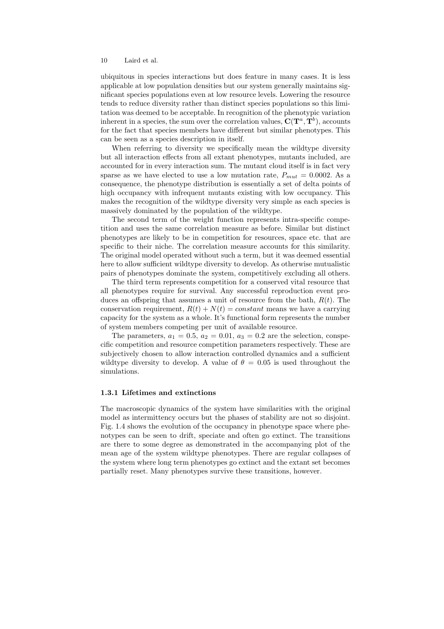ubiquitous in species interactions but does feature in many cases. It is less applicable at low population densities but our system generally maintains significant species populations even at low resource levels. Lowering the resource tends to reduce diversity rather than distinct species populations so this limitation was deemed to be acceptable. In recognition of the phenotypic variation inherent in a species, the sum over the correlation values,  $C(T^a, T^b)$ , accounts for the fact that species members have different but similar phenotypes. This can be seen as a species description in itself.

When referring to diversity we specifically mean the wildtype diversity but all interaction effects from all extant phenotypes, mutants included, are accounted for in every interaction sum. The mutant cloud itself is in fact very sparse as we have elected to use a low mutation rate,  $P_{mut} = 0.0002$ . As a consequence, the phenotype distribution is essentially a set of delta points of high occupancy with infrequent mutants existing with low occupancy. This makes the recognition of the wildtype diversity very simple as each species is massively dominated by the population of the wildtype.

The second term of the weight function represents intra-specific competition and uses the same correlation measure as before. Similar but distinct phenotypes are likely to be in competition for resources, space etc. that are specific to their niche. The correlation measure accounts for this similarity. The original model operated without such a term, but it was deemed essential here to allow sufficient wildtype diversity to develop. As otherwise mutualistic pairs of phenotypes dominate the system, competitively excluding all others.

The third term represents competition for a conserved vital resource that all phenotypes require for survival. Any successful reproduction event produces an offspring that assumes a unit of resource from the bath,  $R(t)$ . The conservation requirement,  $R(t) + N(t) = constant$  means we have a carrying capacity for the system as a whole. It's functional form represents the number of system members competing per unit of available resource.

The parameters,  $a_1 = 0.5$ ,  $a_2 = 0.01$ ,  $a_3 = 0.2$  are the selection, conspecific competition and resource competition parameters respectively. These are subjectively chosen to allow interaction controlled dynamics and a sufficient wildtype diversity to develop. A value of  $\theta = 0.05$  is used throughout the simulations.

#### 1.3.1 Lifetimes and extinctions

The macroscopic dynamics of the system have similarities with the original model as intermittency occurs but the phases of stability are not so disjoint. Fig. 1.4 shows the evolution of the occupancy in phenotype space where phenotypes can be seen to drift, speciate and often go extinct. The transitions are there to some degree as demonstrated in the accompanying plot of the mean age of the system wildtype phenotypes. There are regular collapses of the system where long term phenotypes go extinct and the extant set becomes partially reset. Many phenotypes survive these transitions, however.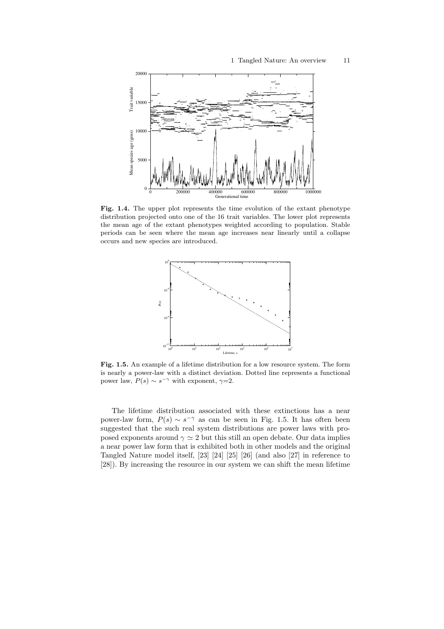

Fig. 1.4. The upper plot represents the time evolution of the extant phenotype distribution projected onto one of the 16 trait variables. The lower plot represents the mean age of the extant phenotypes weighted according to population. Stable periods can be seen where the mean age increases near linearly until a collapse occurs and new species are introduced.



Fig. 1.5. An example of a lifetime distribution for a low resource system. The form is nearly a power-law with a distinct deviation. Dotted line represents a functional power law,  $P(s) \sim s^{-\gamma}$  with exponent,  $\gamma=2$ .

The lifetime distribution associated with these extinctions has a near power-law form,  $P(s) \sim s^{-\gamma}$  as can be seen in Fig. 1.5. It has often been suggested that the such real system distributions are power laws with proposed exponents around  $\gamma \simeq 2$  but this still an open debate. Our data implies a near power law form that is exhibited both in other models and the original Tangled Nature model itself, [23] [24] [25] [26] (and also [27] in reference to [28]). By increasing the resource in our system we can shift the mean lifetime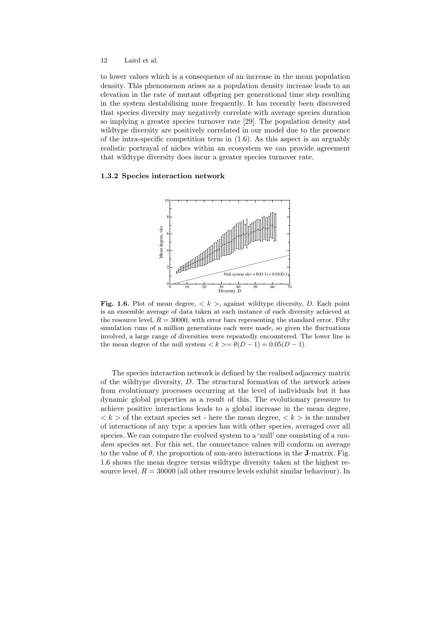to lower values which is a consequence of an increase in the mean population density. This phenomenon arises as a population density increase leads to an elevation in the rate of mutant offspring per generational time step resulting in the system destabilising more frequently. It has recently been discovered that species diversity may negatively correlate with average species duration so implying a greater species turnover rate [29]. The population density and wildtype diversity are positively correlated in our model due to the presence of the intra-specific competition term in (1.6). As this aspect is an arguably realistic portrayal of niches within an ecosystem we can provide agreement that wildtype diversity does incur a greater species turnover rate.

### 1.3.2 Species interaction network



Fig. 1.6. Plot of mean degree,  $\langle k \rangle$ , against wildtype diversity, D. Each point is an ensemble average of data taken at each instance of each diversity achieved at the resource level,  $R = 30000$ , with error bars representing the standard error. Fifty simulation runs of a million generations each were made, so given the fluctuations involved, a large range of diversities were repeatedly encountered. The lower line is the mean degree of the null system  $\langle k \rangle = \theta(D-1) = 0.05(D-1)$ .

The species interaction network is defined by the realised adjacency matrix of the wildtype diversity, D. The structural formation of the network arises from evolutionary processes occurring at the level of individuals but it has dynamic global properties as a result of this. The evolutionary pressure to achieve positive interactions leads to a global increase in the mean degree,  $\langle k \rangle$  of the extant species set - here the mean degree,  $\langle k \rangle$  is the number of interactions of any type a species has with other species, averaged over all species. We can compare the evolved system to a 'null' one consisting of a random species set. For this set, the connectance values will conform on average to the value of  $\theta$ , the proportion of non-zero interactions in the **J**-matrix. Fig. 1.6 shows the mean degree versus wildtype diversity taken at the highest resource level,  $R = 30000$  (all other resource levels exhibit similar behaviour). In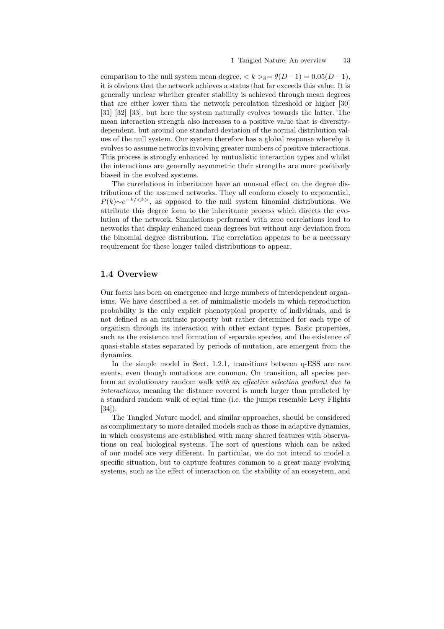comparison to the null system mean degree,  $\langle k \rangle_{\theta} = \theta(D-1) = 0.05(D-1),$ it is obvious that the network achieves a status that far exceeds this value. It is generally unclear whether greater stability is achieved through mean degrees that are either lower than the network percolation threshold or higher [30] [31] [32] [33], but here the system naturally evolves towards the latter. The mean interaction strength also increases to a positive value that is diversitydependent, but around one standard deviation of the normal distribution values of the null system. Our system therefore has a global response whereby it evolves to assume networks involving greater numbers of positive interactions. This process is strongly enhanced by mutualistic interaction types and whilst the interactions are generally asymmetric their strengths are more positively biased in the evolved systems.

The correlations in inheritance have an unusual effect on the degree distributions of the assumed networks. They all conform closely to exponential,  $P(k) \sim e^{-k/\langle k \rangle}$ , as opposed to the null system binomial distributions. We attribute this degree form to the inheritance process which directs the evolution of the network. Simulations performed with zero correlations lead to networks that display enhanced mean degrees but without any deviation from the binomial degree distribution. The correlation appears to be a necessary requirement for these longer tailed distributions to appear.

# 1.4 Overview

Our focus has been on emergence and large numbers of interdependent organisms. We have described a set of minimalistic models in which reproduction probability is the only explicit phenotypical property of individuals, and is not defined as an intrinsic property but rather determined for each type of organism through its interaction with other extant types. Basic properties, such as the existence and formation of separate species, and the existence of quasi-stable states separated by periods of mutation, are emergent from the dynamics.

In the simple model in Sect. 1.2.1, transitions between q-ESS are rare events, even though mutations are common. On transition, all species perform an evolutionary random walk with an effective selection gradient due to interactions, meaning the distance covered is much larger than predicted by a standard random walk of equal time (i.e. the jumps resemble Levy Flights [34]).

The Tangled Nature model, and similar approaches, should be considered as complimentary to more detailed models such as those in adaptive dynamics, in which ecosystems are established with many shared features with observations on real biological systems. The sort of questions which can be asked of our model are very different. In particular, we do not intend to model a specific situation, but to capture features common to a great many evolving systems, such as the effect of interaction on the stability of an ecosystem, and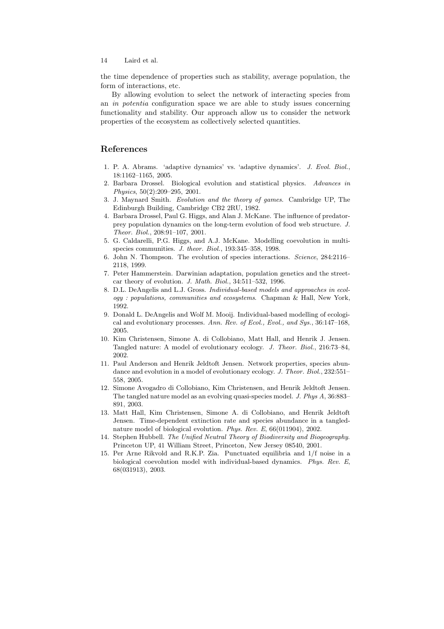the time dependence of properties such as stability, average population, the form of interactions, etc.

By allowing evolution to select the network of interacting species from an in potentia configuration space we are able to study issues concerning functionality and stability. Our approach allow us to consider the network properties of the ecosystem as collectively selected quantities.

# References

- 1. P. A. Abrams. 'adaptive dynamics' vs. 'adaptive dynamics'. J. Evol. Biol., 18:1162–1165, 2005.
- 2. Barbara Drossel. Biological evolution and statistical physics. Advances in Physics, 50(2):209–295, 2001.
- 3. J. Maynard Smith. Evolution and the theory of games. Cambridge UP, The Edinburgh Building, Cambridge CB2 2RU, 1982.
- 4. Barbara Drossel, Paul G. Higgs, and Alan J. McKane. The influence of predatorprey population dynamics on the long-term evolution of food web structure. J. Theor. Biol., 208:91–107, 2001.
- 5. G. Caldarelli, P.G. Higgs, and A.J. McKane. Modelling coevolution in multispecies communities. J. theor. Biol., 193:345-358, 1998.
- 6. John N. Thompson. The evolution of species interactions. Science, 284:2116– 2118, 1999.
- 7. Peter Hammerstein. Darwinian adaptation, population genetics and the streetcar theory of evolution. J. Math. Biol., 34:511–532, 1996.
- 8. D.L. DeAngelis and L.J. Gross. Individual-based models and approaches in ecology : populations, communities and ecosystems. Chapman & Hall, New York, 1992.
- 9. Donald L. DeAngelis and Wolf M. Mooij. Individual-based modelling of ecological and evolutionary processes. Ann. Rev. of Ecol., Evol., and Sys., 36:147–168, 2005.
- 10. Kim Christensen, Simone A. di Collobiano, Matt Hall, and Henrik J. Jensen. Tangled nature: A model of evolutionary ecology. J. Theor. Biol., 216:73–84, 2002.
- 11. Paul Anderson and Henrik Jeldtoft Jensen. Network properties, species abundance and evolution in a model of evolutionary ecology. J. Theor. Biol., 232:551-558, 2005.
- 12. Simone Avogadro di Collobiano, Kim Christensen, and Henrik Jeldtoft Jensen. The tangled nature model as an evolving quasi-species model. J. Phys A, 36:883– 891, 2003.
- 13. Matt Hall, Kim Christensen, Simone A. di Collobiano, and Henrik Jeldtoft Jensen. Time-dependent extinction rate and species abundance in a tanglednature model of biological evolution. Phys. Rev. E, 66(011904), 2002.
- 14. Stephen Hubbell. The Unified Neutral Theory of Biodiversity and Biogeography. Princeton UP, 41 William Street, Princeton, New Jersey 08540, 2001.
- 15. Per Arne Rikvold and R.K.P. Zia. Punctuated equilibria and 1/f noise in a biological coevolution model with individual-based dynamics. Phys. Rev. E, 68(031913), 2003.